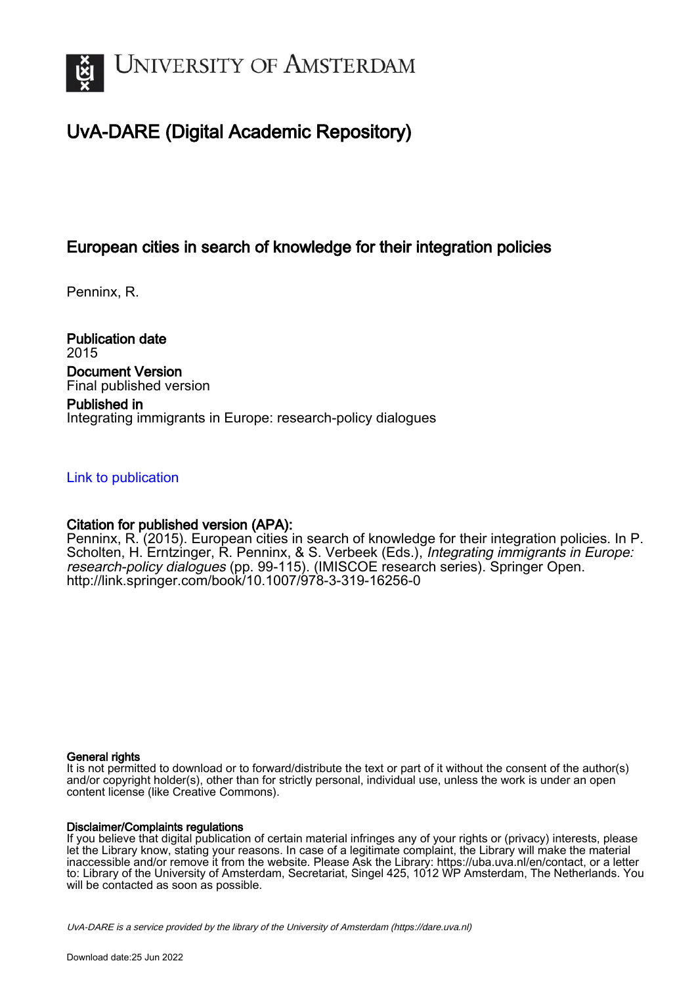

# UvA-DARE (Digital Academic Repository)

# European cities in search of knowledge for their integration policies

Penninx, R.

Publication date 2015 Document Version Final published version

Published in Integrating immigrants in Europe: research-policy dialogues

# [Link to publication](https://dare.uva.nl/personal/pure/en/publications/european-cities-in-search-of-knowledge-for-their-integration-policies(c0da25df-ad13-44c2-b241-264c4cfcb28a).html)

# Citation for published version (APA):

Penninx, R. (2015). European cities in search of knowledge for their integration policies. In P. Scholten, H. Erntzinger, R. Penninx, & S. Verbeek (Eds.), Integrating immigrants in Europe: research-policy dialogues (pp. 99-115). (IMISCOE research series). Springer Open. <http://link.springer.com/book/10.1007/978-3-319-16256-0>

#### General rights

It is not permitted to download or to forward/distribute the text or part of it without the consent of the author(s) and/or copyright holder(s), other than for strictly personal, individual use, unless the work is under an open content license (like Creative Commons).

#### Disclaimer/Complaints regulations

If you believe that digital publication of certain material infringes any of your rights or (privacy) interests, please let the Library know, stating your reasons. In case of a legitimate complaint, the Library will make the material inaccessible and/or remove it from the website. Please Ask the Library: https://uba.uva.nl/en/contact, or a letter to: Library of the University of Amsterdam, Secretariat, Singel 425, 1012 WP Amsterdam, The Netherlands. You will be contacted as soon as possible.

UvA-DARE is a service provided by the library of the University of Amsterdam (http*s*://dare.uva.nl)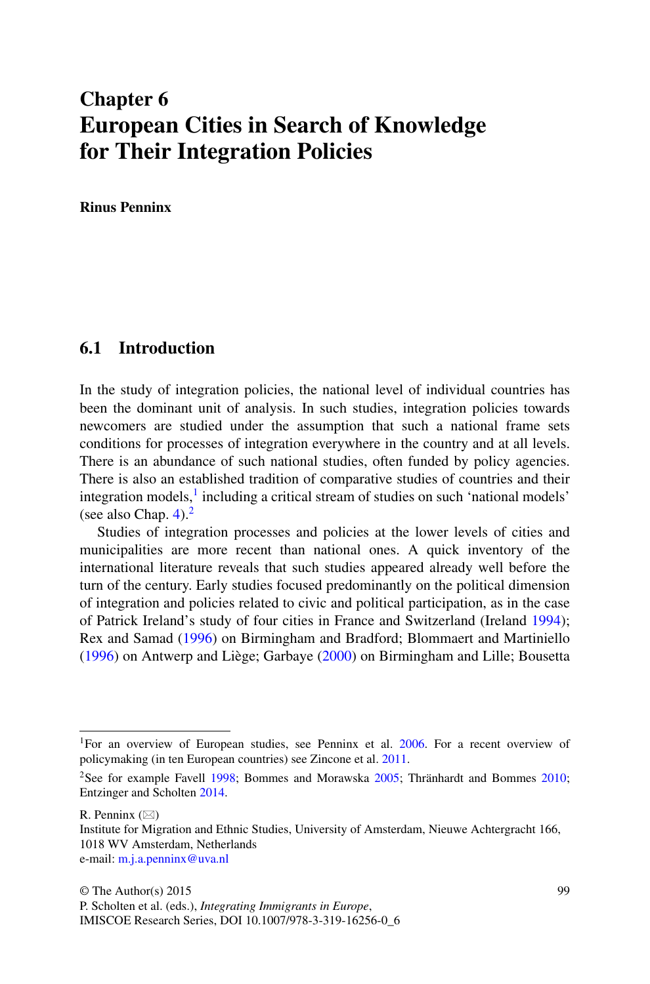# **Chapter 6 European Cities in Search of Knowledge for Their Integration Policies**

**Rinus Penninx**

#### **6.1 Introduction**

In the study of integration policies, the national level of individual countries has been the dominant unit of analysis. In such studies, integration policies towards newcomers are studied under the assumption that such a national frame sets conditions for processes of integration everywhere in the country and at all levels. There is an abundance of such national studies, often funded by policy agencies. There is also an established tradition of comparative studies of countries and their integration models,<sup>1</sup> including a critical stream of studies on such 'national models' (see also Chap.  $4$ ).<sup>[2](#page-1-1)</sup>

Studies of integration processes and policies at the lower levels of cities and municipalities are more recent than national ones. A quick inventory of the international literature reveals that such studies appeared already well before the turn of the century. Early studies focused predominantly on the political dimension of integration and policies related to civic and political participation, as in the case of Patrick Ireland's study of four cities in France and Switzerland (Ireland [1994\)](#page-15-0); Rex and Samad [\(1996\)](#page-16-0) on Birmingham and Bradford; Blommaert and Martiniello [\(1996\)](#page-14-0) on Antwerp and Liège; Garbaye [\(2000\)](#page-15-1) on Birmingham and Lille; Bousetta

R. Penninx  $(\boxtimes)$ 

<span id="page-1-0"></span><sup>1</sup>For an overview of European studies, see Penninx et al. [2006.](#page-16-1) For a recent overview of policymaking (in ten European countries) see Zincone et al. [2011.](#page-17-0)

<span id="page-1-1"></span><sup>&</sup>lt;sup>2</sup>See for example Favell [1998;](#page-15-2) Bommes and Morawska [2005;](#page-14-1) Thränhardt and Bommes [2010;](#page-16-2) Entzinger and Scholten [2014.](#page-15-3)

Institute for Migration and Ethnic Studies, University of Amsterdam, Nieuwe Achtergracht 166, 1018 WV Amsterdam, Netherlands e-mail: [m.j.a.penninx@uva.nl](mailto:m.j.a.penninx@uva.nl)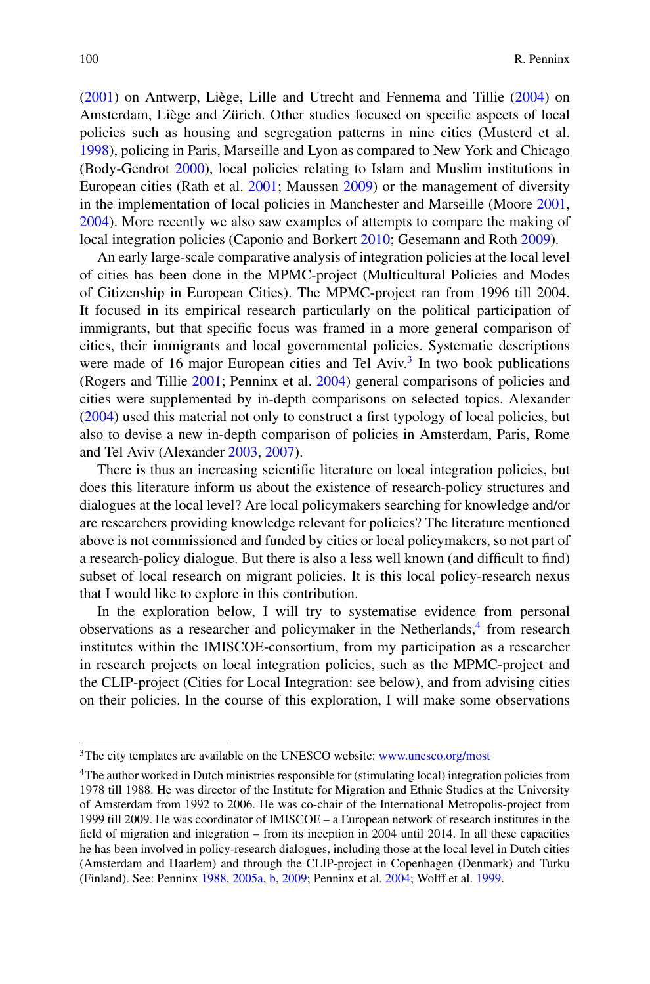[\(2001\)](#page-14-2) on Antwerp, Liège, Lille and Utrecht and Fennema and Tillie [\(2004\)](#page-15-4) on Amsterdam, Liège and Zürich. Other studies focused on specific aspects of local policies such as housing and segregation patterns in nine cities (Musterd et al. [1998\)](#page-16-3), policing in Paris, Marseille and Lyon as compared to New York and Chicago (Body-Gendrot [2000\)](#page-14-3), local policies relating to Islam and Muslim institutions in European cities (Rath et al. [2001;](#page-16-4) Maussen [2009\)](#page-15-5) or the management of diversity in the implementation of local policies in Manchester and Marseille (Moore [2001,](#page-15-6) [2004\)](#page-15-7). More recently we also saw examples of attempts to compare the making of local integration policies (Caponio and Borkert [2010;](#page-15-8) Gesemann and Roth [2009\)](#page-15-9).

An early large-scale comparative analysis of integration policies at the local level of cities has been done in the MPMC-project (Multicultural Policies and Modes of Citizenship in European Cities). The MPMC-project ran from 1996 till 2004. It focused in its empirical research particularly on the political participation of immigrants, but that specific focus was framed in a more general comparison of cities, their immigrants and local governmental policies. Systematic descriptions were made of 16 major European cities and Tel Aviv.<sup>3</sup> In two book publications (Rogers and Tillie [2001;](#page-16-5) Penninx et al. [2004\)](#page-16-6) general comparisons of policies and cities were supplemented by in-depth comparisons on selected topics. Alexander [\(2004\)](#page-14-4) used this material not only to construct a first typology of local policies, but also to devise a new in-depth comparison of policies in Amsterdam, Paris, Rome and Tel Aviv (Alexander [2003,](#page-14-5) [2007\)](#page-14-6).

There is thus an increasing scientific literature on local integration policies, but does this literature inform us about the existence of research-policy structures and dialogues at the local level? Are local policymakers searching for knowledge and/or are researchers providing knowledge relevant for policies? The literature mentioned above is not commissioned and funded by cities or local policymakers, so not part of a research-policy dialogue. But there is also a less well known (and difficult to find) subset of local research on migrant policies. It is this local policy-research nexus that I would like to explore in this contribution.

In the exploration below, I will try to systematise evidence from personal observations as a researcher and policymaker in the Netherlands,[4](#page-2-1) from research institutes within the IMISCOE-consortium, from my participation as a researcher in research projects on local integration policies, such as the MPMC-project and the CLIP-project (Cities for Local Integration: see below), and from advising cities on their policies. In the course of this exploration, I will make some observations

<span id="page-2-0"></span><sup>&</sup>lt;sup>3</sup>The city templates are available on the UNESCO website: <www.unesco.org/most>

<span id="page-2-1"></span><sup>4</sup>The author worked in Dutch ministries responsible for (stimulating local) integration policies from 1978 till 1988. He was director of the Institute for Migration and Ethnic Studies at the University of Amsterdam from 1992 to 2006. He was co-chair of the International Metropolis-project from 1999 till 2009. He was coordinator of IMISCOE – a European network of research institutes in the field of migration and integration – from its inception in 2004 until 2014. In all these capacities he has been involved in policy-research dialogues, including those at the local level in Dutch cities (Amsterdam and Haarlem) and through the CLIP-project in Copenhagen (Denmark) and Turku (Finland). See: Penninx [1988,](#page-16-7) [2005a,](#page-16-8) [b,](#page-16-9) [2009;](#page-16-10) Penninx et al. [2004;](#page-16-6) Wolff et al. [1999.](#page-17-1)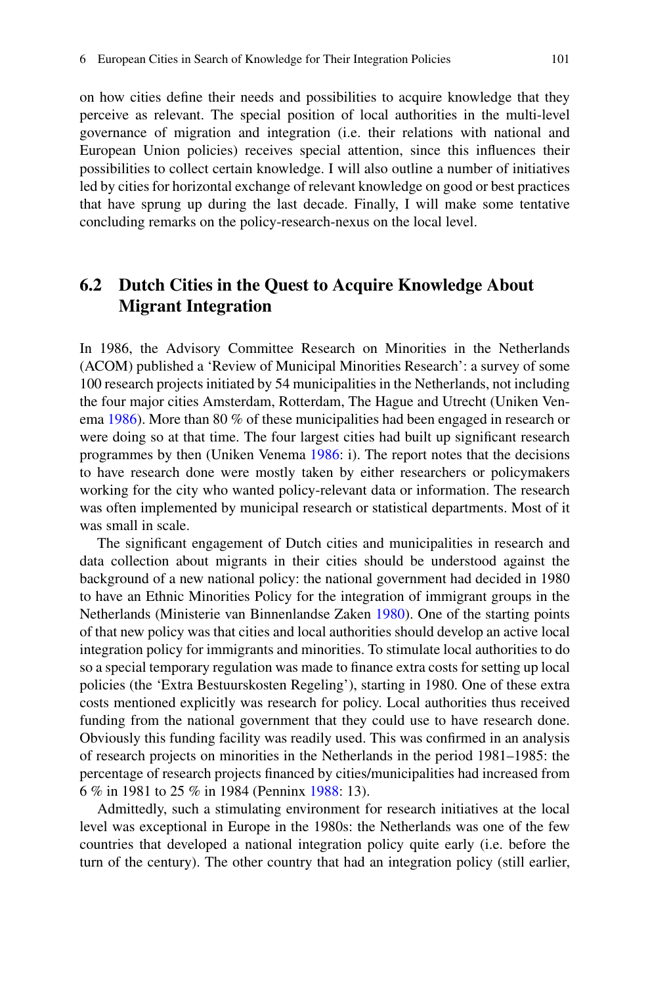on how cities define their needs and possibilities to acquire knowledge that they perceive as relevant. The special position of local authorities in the multi-level governance of migration and integration (i.e. their relations with national and European Union policies) receives special attention, since this influences their possibilities to collect certain knowledge. I will also outline a number of initiatives led by cities for horizontal exchange of relevant knowledge on good or best practices that have sprung up during the last decade. Finally, I will make some tentative concluding remarks on the policy-research-nexus on the local level.

### **6.2 Dutch Cities in the Quest to Acquire Knowledge About Migrant Integration**

In 1986, the Advisory Committee Research on Minorities in the Netherlands (ACOM) published a 'Review of Municipal Minorities Research': a survey of some 100 research projects initiated by 54 municipalities in the Netherlands, not including the four major cities Amsterdam, Rotterdam, The Hague and Utrecht (Uniken Venema [1986\)](#page-16-11). More than 80 % of these municipalities had been engaged in research or were doing so at that time. The four largest cities had built up significant research programmes by then (Uniken Venema [1986:](#page-16-11) i). The report notes that the decisions to have research done were mostly taken by either researchers or policymakers working for the city who wanted policy-relevant data or information. The research was often implemented by municipal research or statistical departments. Most of it was small in scale.

The significant engagement of Dutch cities and municipalities in research and data collection about migrants in their cities should be understood against the background of a new national policy: the national government had decided in 1980 to have an Ethnic Minorities Policy for the integration of immigrant groups in the Netherlands (Ministerie van Binnenlandse Zaken [1980\)](#page-15-10). One of the starting points of that new policy was that cities and local authorities should develop an active local integration policy for immigrants and minorities. To stimulate local authorities to do so a special temporary regulation was made to finance extra costs for setting up local policies (the 'Extra Bestuurskosten Regeling'), starting in 1980. One of these extra costs mentioned explicitly was research for policy. Local authorities thus received funding from the national government that they could use to have research done. Obviously this funding facility was readily used. This was confirmed in an analysis of research projects on minorities in the Netherlands in the period 1981–1985: the percentage of research projects financed by cities/municipalities had increased from 6 % in 1981 to 25 % in 1984 (Penninx [1988:](#page-16-7) 13).

Admittedly, such a stimulating environment for research initiatives at the local level was exceptional in Europe in the 1980s: the Netherlands was one of the few countries that developed a national integration policy quite early (i.e. before the turn of the century). The other country that had an integration policy (still earlier,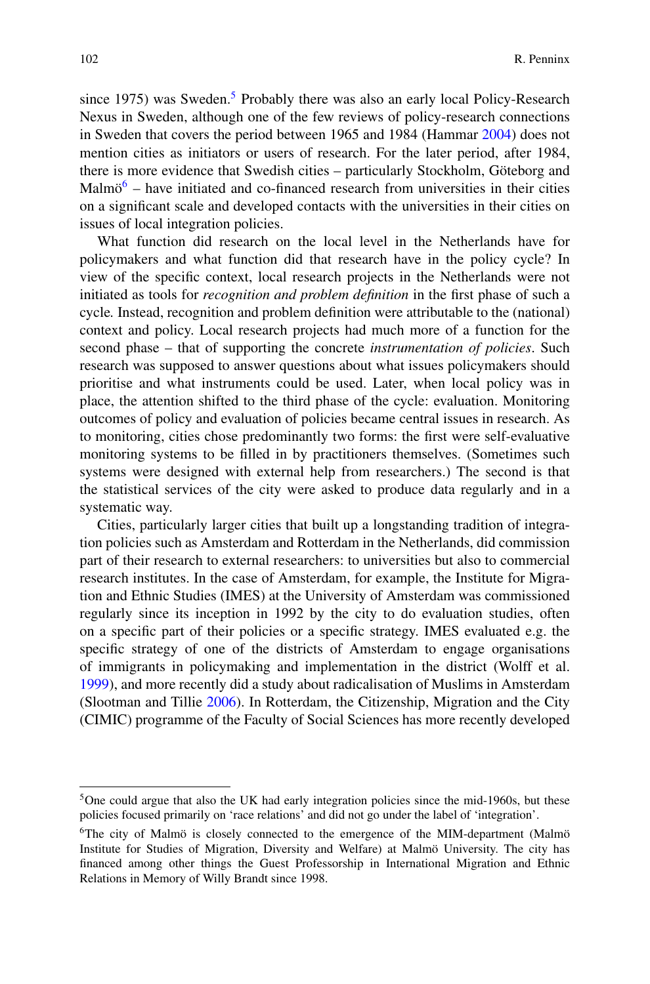since 197[5](#page-4-0)) was Sweden.<sup>5</sup> Probably there was also an early local Policy-Research Nexus in Sweden, although one of the few reviews of policy-research connections in Sweden that covers the period between 1965 and 1984 (Hammar [2004\)](#page-15-11) does not mention cities as initiators or users of research. For the later period, after 1984, there is more evidence that Swedish cities – particularly Stockholm, Göteborg and Malm $\ddot{\mathrm{o}}$  – have initiated and co-financed research from universities in their cities on a significant scale and developed contacts with the universities in their cities on issues of local integration policies.

What function did research on the local level in the Netherlands have for policymakers and what function did that research have in the policy cycle? In view of the specific context, local research projects in the Netherlands were not initiated as tools for *recognition and problem definition* in the first phase of such a cycle*.* Instead, recognition and problem definition were attributable to the (national) context and policy. Local research projects had much more of a function for the second phase – that of supporting the concrete *instrumentation of policies*. Such research was supposed to answer questions about what issues policymakers should prioritise and what instruments could be used. Later, when local policy was in place, the attention shifted to the third phase of the cycle: evaluation. Monitoring outcomes of policy and evaluation of policies became central issues in research. As to monitoring, cities chose predominantly two forms: the first were self-evaluative monitoring systems to be filled in by practitioners themselves. (Sometimes such systems were designed with external help from researchers.) The second is that the statistical services of the city were asked to produce data regularly and in a systematic way.

Cities, particularly larger cities that built up a longstanding tradition of integration policies such as Amsterdam and Rotterdam in the Netherlands, did commission part of their research to external researchers: to universities but also to commercial research institutes. In the case of Amsterdam, for example, the Institute for Migration and Ethnic Studies (IMES) at the University of Amsterdam was commissioned regularly since its inception in 1992 by the city to do evaluation studies, often on a specific part of their policies or a specific strategy. IMES evaluated e.g. the specific strategy of one of the districts of Amsterdam to engage organisations of immigrants in policymaking and implementation in the district (Wolff et al. [1999\)](#page-17-1), and more recently did a study about radicalisation of Muslims in Amsterdam (Slootman and Tillie [2006\)](#page-16-12). In Rotterdam, the Citizenship, Migration and the City (CIMIC) programme of the Faculty of Social Sciences has more recently developed

<span id="page-4-0"></span><sup>&</sup>lt;sup>5</sup>One could argue that also the UK had early integration policies since the mid-1960s, but these policies focused primarily on 'race relations' and did not go under the label of 'integration'.

<span id="page-4-1"></span><sup>6</sup>The city of Malmö is closely connected to the emergence of the MIM-department (Malmö Institute for Studies of Migration, Diversity and Welfare) at Malmö University. The city has financed among other things the Guest Professorship in International Migration and Ethnic Relations in Memory of Willy Brandt since 1998.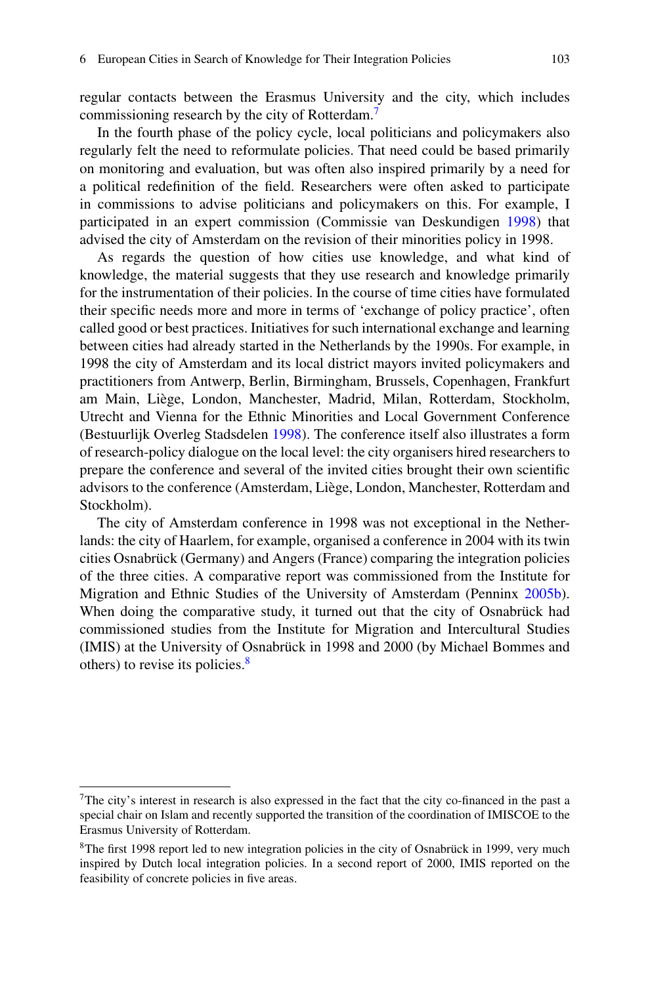regular contacts between the Erasmus University and the city, which includes commissioning research by the city of Rotterdam[.7](#page-5-0)

In the fourth phase of the policy cycle, local politicians and policymakers also regularly felt the need to reformulate policies. That need could be based primarily on monitoring and evaluation, but was often also inspired primarily by a need for a political redefinition of the field. Researchers were often asked to participate in commissions to advise politicians and policymakers on this. For example, I participated in an expert commission (Commissie van Deskundigen [1998\)](#page-15-12) that advised the city of Amsterdam on the revision of their minorities policy in 1998.

As regards the question of how cities use knowledge, and what kind of knowledge, the material suggests that they use research and knowledge primarily for the instrumentation of their policies. In the course of time cities have formulated their specific needs more and more in terms of 'exchange of policy practice', often called good or best practices. Initiatives for such international exchange and learning between cities had already started in the Netherlands by the 1990s. For example, in 1998 the city of Amsterdam and its local district mayors invited policymakers and practitioners from Antwerp, Berlin, Birmingham, Brussels, Copenhagen, Frankfurt am Main, Liège, London, Manchester, Madrid, Milan, Rotterdam, Stockholm, Utrecht and Vienna for the Ethnic Minorities and Local Government Conference (Bestuurlijk Overleg Stadsdelen [1998\)](#page-14-7). The conference itself also illustrates a form of research-policy dialogue on the local level: the city organisers hired researchers to prepare the conference and several of the invited cities brought their own scientific advisors to the conference (Amsterdam, Liège, London, Manchester, Rotterdam and Stockholm).

The city of Amsterdam conference in 1998 was not exceptional in the Netherlands: the city of Haarlem, for example, organised a conference in 2004 with its twin cities Osnabrück (Germany) and Angers (France) comparing the integration policies of the three cities. A comparative report was commissioned from the Institute for Migration and Ethnic Studies of the University of Amsterdam (Penninx [2005b\)](#page-16-9). When doing the comparative study, it turned out that the city of Osnabrück had commissioned studies from the Institute for Migration and Intercultural Studies (IMIS) at the University of Osnabrück in 1998 and 2000 (by Michael Bommes and others) to revise its policies.<sup>8</sup>

<span id="page-5-0"></span> $7$ The city's interest in research is also expressed in the fact that the city co-financed in the past a special chair on Islam and recently supported the transition of the coordination of IMISCOE to the Erasmus University of Rotterdam.

<span id="page-5-1"></span><sup>8</sup>The first 1998 report led to new integration policies in the city of Osnabrück in 1999, very much inspired by Dutch local integration policies. In a second report of 2000, IMIS reported on the feasibility of concrete policies in five areas.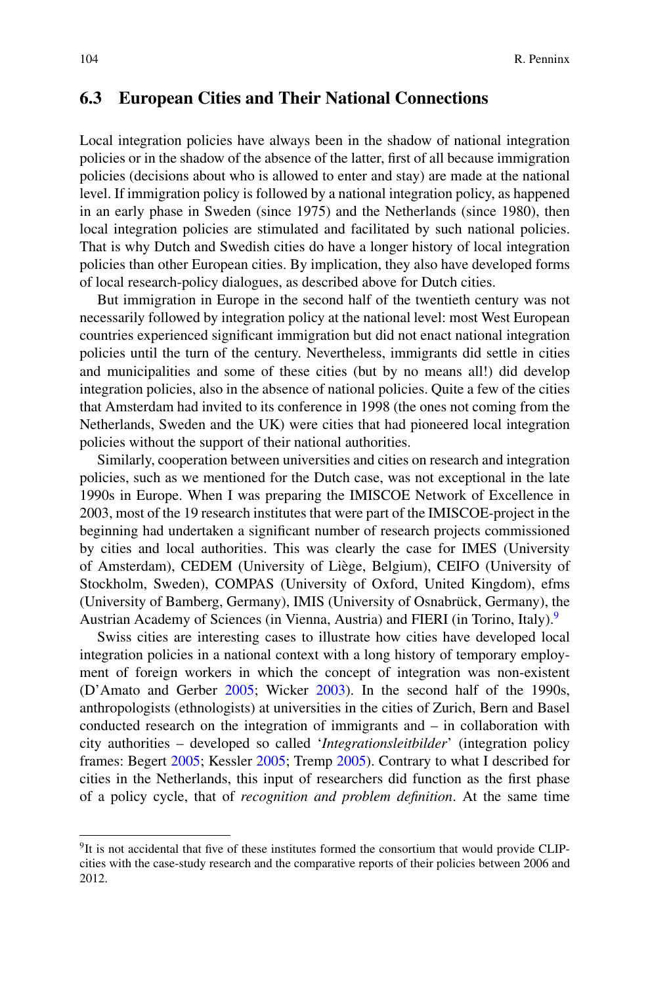#### **6.3 European Cities and Their National Connections**

Local integration policies have always been in the shadow of national integration policies or in the shadow of the absence of the latter, first of all because immigration policies (decisions about who is allowed to enter and stay) are made at the national level. If immigration policy is followed by a national integration policy, as happened in an early phase in Sweden (since 1975) and the Netherlands (since 1980), then local integration policies are stimulated and facilitated by such national policies. That is why Dutch and Swedish cities do have a longer history of local integration policies than other European cities. By implication, they also have developed forms of local research-policy dialogues, as described above for Dutch cities.

But immigration in Europe in the second half of the twentieth century was not necessarily followed by integration policy at the national level: most West European countries experienced significant immigration but did not enact national integration policies until the turn of the century. Nevertheless, immigrants did settle in cities and municipalities and some of these cities (but by no means all!) did develop integration policies, also in the absence of national policies. Quite a few of the cities that Amsterdam had invited to its conference in 1998 (the ones not coming from the Netherlands, Sweden and the UK) were cities that had pioneered local integration policies without the support of their national authorities.

Similarly, cooperation between universities and cities on research and integration policies, such as we mentioned for the Dutch case, was not exceptional in the late 1990s in Europe. When I was preparing the IMISCOE Network of Excellence in 2003, most of the 19 research institutes that were part of the IMISCOE-project in the beginning had undertaken a significant number of research projects commissioned by cities and local authorities. This was clearly the case for IMES (University of Amsterdam), CEDEM (University of Liège, Belgium), CEIFO (University of Stockholm, Sweden), COMPAS (University of Oxford, United Kingdom), efms (University of Bamberg, Germany), IMIS (University of Osnabrück, Germany), the Austrian Academy of Sciences (in Vienna, Austria) and FIERI (in Torino, Italy)[.9](#page-6-0)

Swiss cities are interesting cases to illustrate how cities have developed local integration policies in a national context with a long history of temporary employment of foreign workers in which the concept of integration was non-existent (D'Amato and Gerber [2005;](#page-15-13) Wicker [2003\)](#page-16-13). In the second half of the 1990s, anthropologists (ethnologists) at universities in the cities of Zurich, Bern and Basel conducted research on the integration of immigrants and – in collaboration with city authorities – developed so called '*Integrationsleitbilder*' (integration policy frames: Begert [2005;](#page-14-8) Kessler [2005;](#page-15-14) Tremp [2005\)](#page-16-14). Contrary to what I described for cities in the Netherlands, this input of researchers did function as the first phase of a policy cycle, that of *recognition and problem definition*. At the same time

<span id="page-6-0"></span><sup>9</sup>It is not accidental that five of these institutes formed the consortium that would provide CLIPcities with the case-study research and the comparative reports of their policies between 2006 and 2012.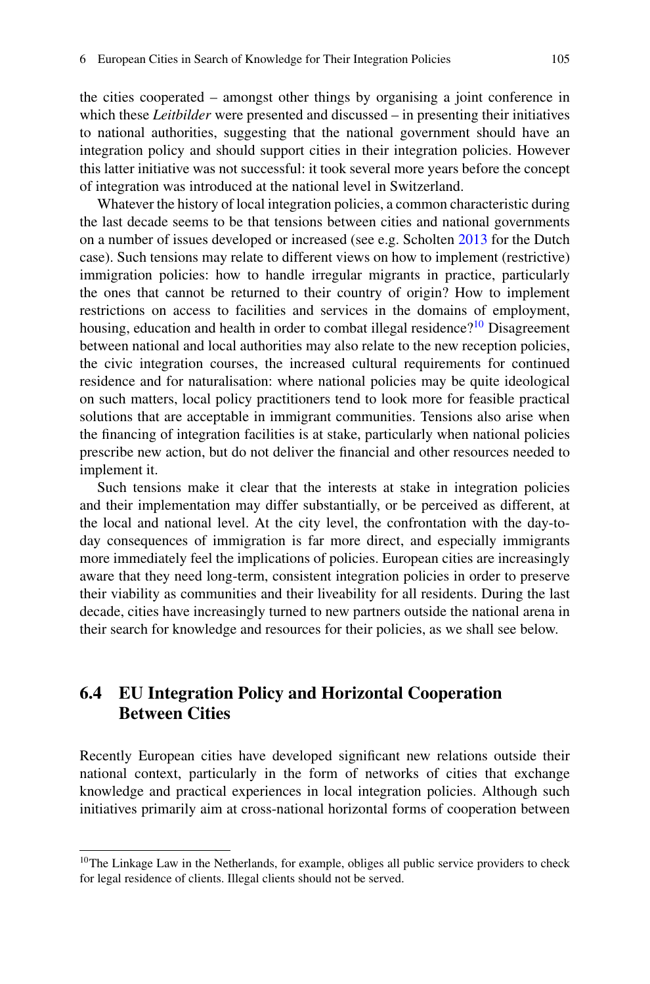the cities cooperated – amongst other things by organising a joint conference in which these *Leitbilder* were presented and discussed – in presenting their initiatives to national authorities, suggesting that the national government should have an integration policy and should support cities in their integration policies. However this latter initiative was not successful: it took several more years before the concept of integration was introduced at the national level in Switzerland.

Whatever the history of local integration policies, a common characteristic during the last decade seems to be that tensions between cities and national governments on a number of issues developed or increased (see e.g. Scholten [2013](#page-16-15) for the Dutch case). Such tensions may relate to different views on how to implement (restrictive) immigration policies: how to handle irregular migrants in practice, particularly the ones that cannot be returned to their country of origin? How to implement restrictions on access to facilities and services in the domains of employment, housing, education and health in order to combat illegal residence?<sup>10</sup> Disagreement between national and local authorities may also relate to the new reception policies, the civic integration courses, the increased cultural requirements for continued residence and for naturalisation: where national policies may be quite ideological on such matters, local policy practitioners tend to look more for feasible practical solutions that are acceptable in immigrant communities. Tensions also arise when the financing of integration facilities is at stake, particularly when national policies prescribe new action, but do not deliver the financial and other resources needed to implement it.

Such tensions make it clear that the interests at stake in integration policies and their implementation may differ substantially, or be perceived as different, at the local and national level. At the city level, the confrontation with the day-today consequences of immigration is far more direct, and especially immigrants more immediately feel the implications of policies. European cities are increasingly aware that they need long-term, consistent integration policies in order to preserve their viability as communities and their liveability for all residents. During the last decade, cities have increasingly turned to new partners outside the national arena in their search for knowledge and resources for their policies, as we shall see below.

### **6.4 EU Integration Policy and Horizontal Cooperation Between Cities**

Recently European cities have developed significant new relations outside their national context, particularly in the form of networks of cities that exchange knowledge and practical experiences in local integration policies. Although such initiatives primarily aim at cross-national horizontal forms of cooperation between

<span id="page-7-0"></span><sup>&</sup>lt;sup>10</sup>The Linkage Law in the Netherlands, for example, obliges all public service providers to check for legal residence of clients. Illegal clients should not be served.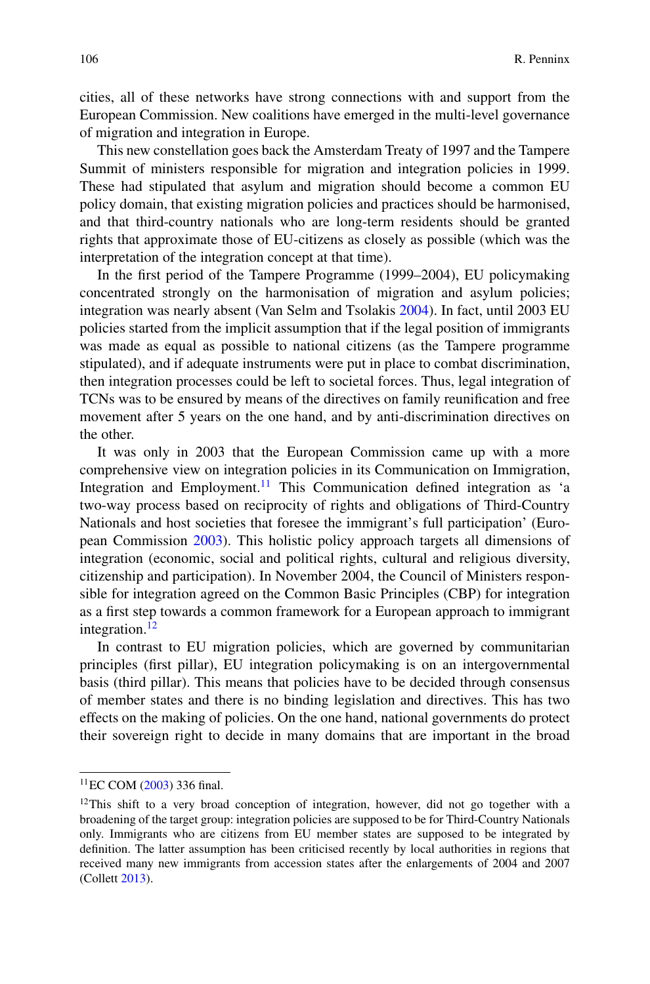cities, all of these networks have strong connections with and support from the European Commission. New coalitions have emerged in the multi-level governance of migration and integration in Europe.

This new constellation goes back the Amsterdam Treaty of 1997 and the Tampere Summit of ministers responsible for migration and integration policies in 1999. These had stipulated that asylum and migration should become a common EU policy domain, that existing migration policies and practices should be harmonised, and that third-country nationals who are long-term residents should be granted rights that approximate those of EU-citizens as closely as possible (which was the interpretation of the integration concept at that time).

In the first period of the Tampere Programme (1999–2004), EU policymaking concentrated strongly on the harmonisation of migration and asylum policies; integration was nearly absent (Van Selm and Tsolakis [2004\)](#page-16-16). In fact, until 2003 EU policies started from the implicit assumption that if the legal position of immigrants was made as equal as possible to national citizens (as the Tampere programme stipulated), and if adequate instruments were put in place to combat discrimination, then integration processes could be left to societal forces. Thus, legal integration of TCNs was to be ensured by means of the directives on family reunification and free movement after 5 years on the one hand, and by anti-discrimination directives on the other.

It was only in 2003 that the European Commission came up with a more comprehensive view on integration policies in its Communication on Immigration, Integration and Employment.<sup>11</sup> This Communication defined integration as 'a two-way process based on reciprocity of rights and obligations of Third-Country Nationals and host societies that foresee the immigrant's full participation' (European Commission [2003\)](#page-15-15). This holistic policy approach targets all dimensions of integration (economic, social and political rights, cultural and religious diversity, citizenship and participation). In November 2004, the Council of Ministers responsible for integration agreed on the Common Basic Principles (CBP) for integration as a first step towards a common framework for a European approach to immigrant integration.<sup>[12](#page-8-1)</sup>

In contrast to EU migration policies, which are governed by communitarian principles (first pillar), EU integration policymaking is on an intergovernmental basis (third pillar). This means that policies have to be decided through consensus of member states and there is no binding legislation and directives. This has two effects on the making of policies. On the one hand, national governments do protect their sovereign right to decide in many domains that are important in the broad

<span id="page-8-0"></span><sup>11</sup>EC COM [\(2003\)](#page-15-15) 336 final.

<span id="page-8-1"></span><sup>&</sup>lt;sup>12</sup>This shift to a very broad conception of integration, however, did not go together with a broadening of the target group: integration policies are supposed to be for Third-Country Nationals only. Immigrants who are citizens from EU member states are supposed to be integrated by definition. The latter assumption has been criticised recently by local authorities in regions that received many new immigrants from accession states after the enlargements of 2004 and 2007 (Collett [2013\)](#page-15-16).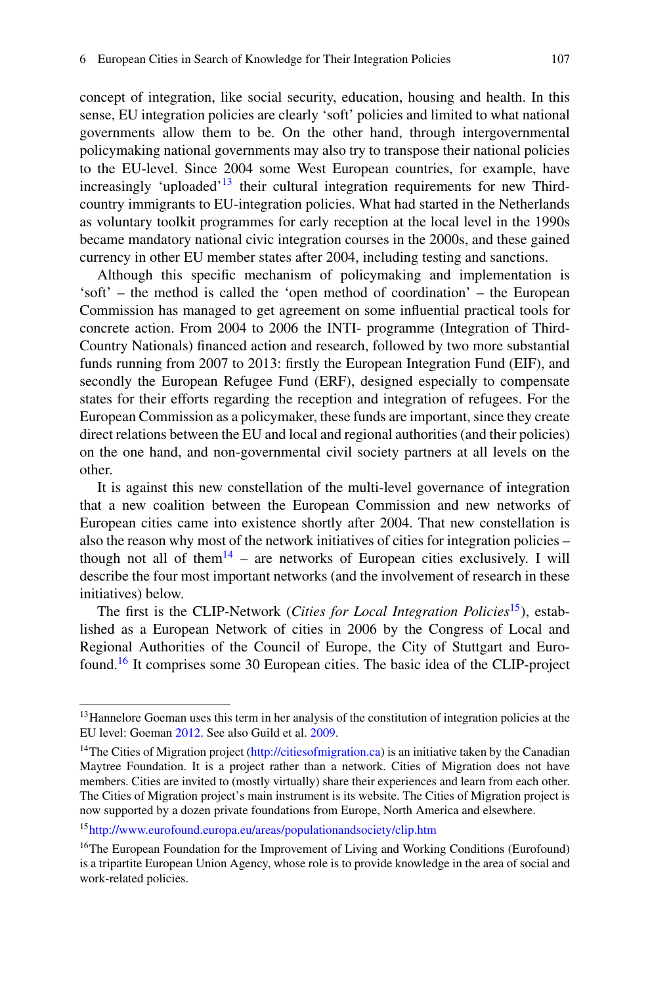concept of integration, like social security, education, housing and health. In this sense, EU integration policies are clearly 'soft' policies and limited to what national governments allow them to be. On the other hand, through intergovernmental policymaking national governments may also try to transpose their national policies to the EU-level. Since 2004 some West European countries, for example, have increasingly 'uploaded'<sup>[13](#page-9-0)</sup> their cultural integration requirements for new Thirdcountry immigrants to EU-integration policies. What had started in the Netherlands as voluntary toolkit programmes for early reception at the local level in the 1990s became mandatory national civic integration courses in the 2000s, and these gained currency in other EU member states after 2004, including testing and sanctions.

Although this specific mechanism of policymaking and implementation is 'soft' – the method is called the 'open method of coordination' – the European Commission has managed to get agreement on some influential practical tools for concrete action. From 2004 to 2006 the INTI- programme (Integration of Third-Country Nationals) financed action and research, followed by two more substantial funds running from 2007 to 2013: firstly the European Integration Fund (EIF), and secondly the European Refugee Fund (ERF), designed especially to compensate states for their efforts regarding the reception and integration of refugees. For the European Commission as a policymaker, these funds are important, since they create direct relations between the EU and local and regional authorities (and their policies) on the one hand, and non-governmental civil society partners at all levels on the other.

It is against this new constellation of the multi-level governance of integration that a new coalition between the European Commission and new networks of European cities came into existence shortly after 2004. That new constellation is also the reason why most of the network initiatives of cities for integration policies – though not all of them<sup>14</sup> – are networks of European cities exclusively. I will describe the four most important networks (and the involvement of research in these initiatives) below.

The first is the CLIP-Network (*Cities for Local Integration Policies*[15\)](#page-9-2), established as a European Network of cities in 2006 by the Congress of Local and Regional Authorities of the Council of Europe, the City of Stuttgart and Eurofound.[16](#page-9-3) It comprises some 30 European cities. The basic idea of the CLIP-project

<span id="page-9-0"></span><sup>&</sup>lt;sup>13</sup>Hannelore Goeman uses this term in her analysis of the constitution of integration policies at the EU level: Goeman [2012.](#page-15-17) See also Guild et al. [2009.](#page-15-18)

<span id="page-9-1"></span><sup>&</sup>lt;sup>14</sup>The Cities of Migration project [\(http://citiesofmigration.ca\)](http://citiesofmigration.ca) is an initiative taken by the Canadian Maytree Foundation. It is a project rather than a network. Cities of Migration does not have members. Cities are invited to (mostly virtually) share their experiences and learn from each other. The Cities of Migration project's main instrument is its website. The Cities of Migration project is now supported by a dozen private foundations from Europe, North America and elsewhere.

<span id="page-9-2"></span><sup>1</sup>[5http://www.eurofound.europa.eu/areas/populationandsociety/clip.htm](http://www.eurofound.europa.eu/areas/populationandsociety/clip.htm)

<span id="page-9-3"></span><sup>&</sup>lt;sup>16</sup>The European Foundation for the Improvement of Living and Working Conditions (Eurofound) is a tripartite European Union Agency, whose role is to provide knowledge in the area of social and work-related policies.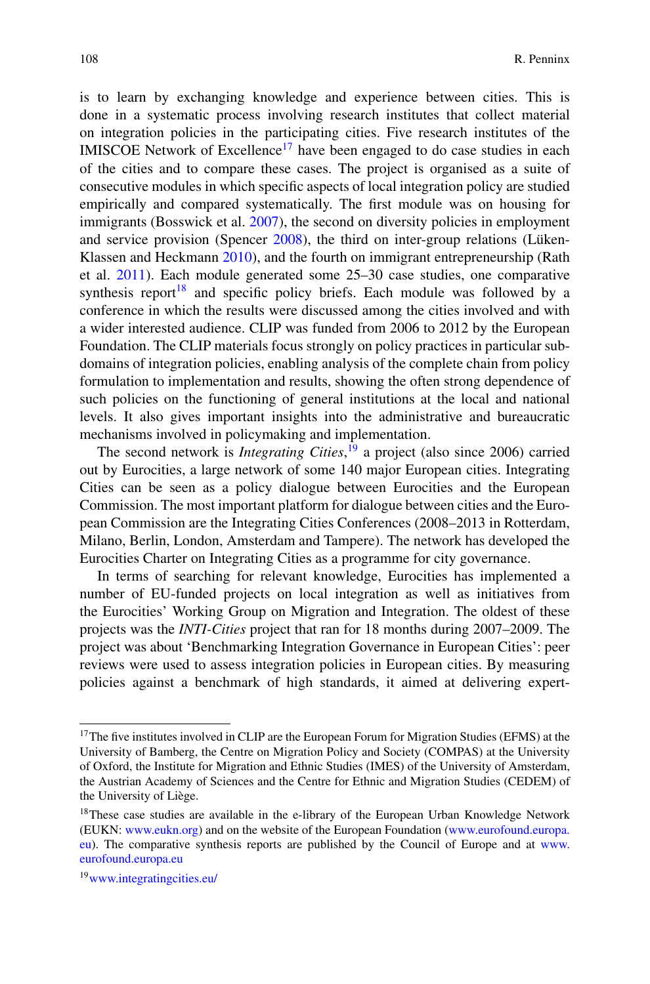is to learn by exchanging knowledge and experience between cities. This is done in a systematic process involving research institutes that collect material on integration policies in the participating cities. Five research institutes of the IMISCOE Network of Excellence<sup>[17](#page-10-0)</sup> have been engaged to do case studies in each of the cities and to compare these cases. The project is organised as a suite of consecutive modules in which specific aspects of local integration policy are studied empirically and compared systematically. The first module was on housing for immigrants (Bosswick et al. [2007\)](#page-14-9), the second on diversity policies in employment and service provision (Spencer [2008\)](#page-16-17), the third on inter-group relations (Lüken-Klassen and Heckmann [2010\)](#page-15-19), and the fourth on immigrant entrepreneurship (Rath et al. [2011\)](#page-16-18). Each module generated some 25–30 case studies, one comparative synthesis report<sup>[18](#page-10-1)</sup> and specific policy briefs. Each module was followed by a conference in which the results were discussed among the cities involved and with a wider interested audience. CLIP was funded from 2006 to 2012 by the European Foundation. The CLIP materials focus strongly on policy practices in particular subdomains of integration policies, enabling analysis of the complete chain from policy formulation to implementation and results, showing the often strong dependence of such policies on the functioning of general institutions at the local and national levels. It also gives important insights into the administrative and bureaucratic mechanisms involved in policymaking and implementation.

The second network is *Integrating Cities*, [19](#page-10-2) a project (also since 2006) carried out by Eurocities, a large network of some 140 major European cities. Integrating Cities can be seen as a policy dialogue between Eurocities and the European Commission. The most important platform for dialogue between cities and the European Commission are the Integrating Cities Conferences (2008–2013 in Rotterdam, Milano, Berlin, London, Amsterdam and Tampere). The network has developed the Eurocities Charter on Integrating Cities as a programme for city governance.

In terms of searching for relevant knowledge, Eurocities has implemented a number of EU-funded projects on local integration as well as initiatives from the Eurocities' Working Group on Migration and Integration. The oldest of these projects was the *INTI-Cities* project that ran for 18 months during 2007–2009. The project was about 'Benchmarking Integration Governance in European Cities': peer reviews were used to assess integration policies in European cities. By measuring policies against a benchmark of high standards, it aimed at delivering expert-

<span id="page-10-0"></span><sup>&</sup>lt;sup>17</sup>The five institutes involved in CLIP are the European Forum for Migration Studies (EFMS) at the University of Bamberg, the Centre on Migration Policy and Society (COMPAS) at the University of Oxford, the Institute for Migration and Ethnic Studies (IMES) of the University of Amsterdam, the Austrian Academy of Sciences and the Centre for Ethnic and Migration Studies (CEDEM) of the University of Liège.

<span id="page-10-1"></span><sup>&</sup>lt;sup>18</sup>These case studies are available in the e-library of the European Urban Knowledge Network (EUKN: [www.eukn.org\)](www.eukn.org) and on the website of the European Foundation [\(www.eurofound.europa.](www.eurofound.europa.eu) [eu\)](www.eurofound.europa.eu). The comparative synthesis reports are published by the Council of Europe and at [www.](www.eurofound.europa.eu) [eurofound.europa.eu](www.eurofound.europa.eu)

<span id="page-10-2"></span><sup>1</sup>[9www.integratingcities.eu/](www.integratingcities.eu/)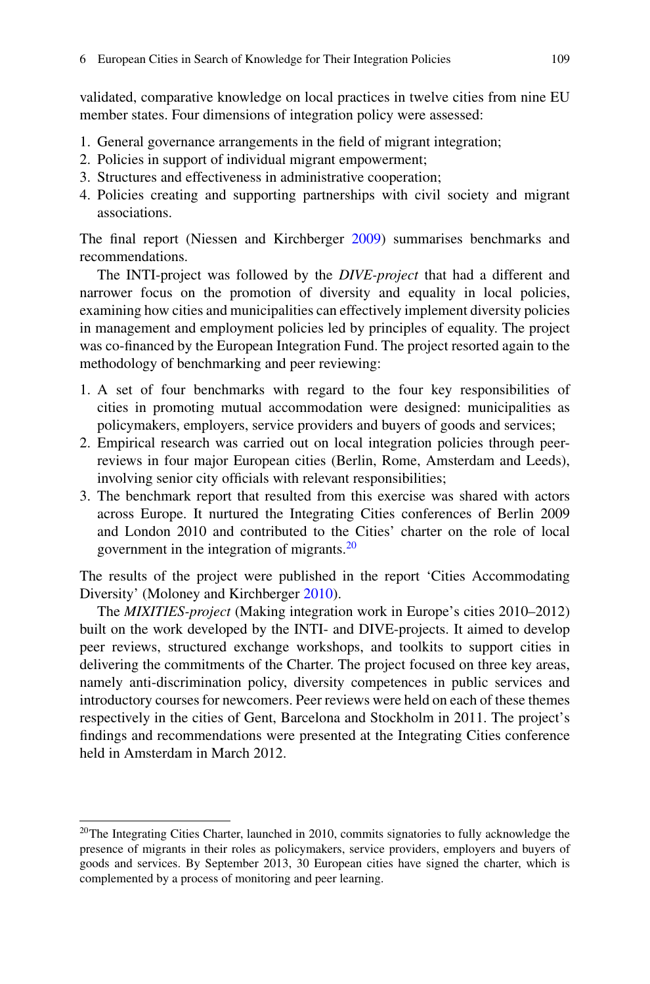validated, comparative knowledge on local practices in twelve cities from nine EU member states. Four dimensions of integration policy were assessed:

- 1. General governance arrangements in the field of migrant integration;
- 2. Policies in support of individual migrant empowerment;
- 3. Structures and effectiveness in administrative cooperation;
- 4. Policies creating and supporting partnerships with civil society and migrant associations.

The final report (Niessen and Kirchberger [2009\)](#page-16-19) summarises benchmarks and recommendations.

The INTI-project was followed by the *DIVE-project* that had a different and narrower focus on the promotion of diversity and equality in local policies, examining how cities and municipalities can effectively implement diversity policies in management and employment policies led by principles of equality. The project was co-financed by the European Integration Fund. The project resorted again to the methodology of benchmarking and peer reviewing:

- 1. A set of four benchmarks with regard to the four key responsibilities of cities in promoting mutual accommodation were designed: municipalities as policymakers, employers, service providers and buyers of goods and services;
- 2. Empirical research was carried out on local integration policies through peerreviews in four major European cities (Berlin, Rome, Amsterdam and Leeds), involving senior city officials with relevant responsibilities;
- 3. The benchmark report that resulted from this exercise was shared with actors across Europe. It nurtured the Integrating Cities conferences of Berlin 2009 and London 2010 and contributed to the Cities' charter on the role of local government in the integration of migrants.<sup>[20](#page-11-0)</sup>

The results of the project were published in the report 'Cities Accommodating Diversity' (Moloney and Kirchberger [2010\)](#page-15-20).

The *MIXITIES-project* (Making integration work in Europe's cities 2010–2012) built on the work developed by the INTI- and DIVE-projects. It aimed to develop peer reviews, structured exchange workshops, and toolkits to support cities in delivering the commitments of the Charter. The project focused on three key areas, namely anti-discrimination policy, diversity competences in public services and introductory courses for newcomers. Peer reviews were held on each of these themes respectively in the cities of Gent, Barcelona and Stockholm in 2011. The project's findings and recommendations were presented at the Integrating Cities conference held in Amsterdam in March 2012.

<span id="page-11-0"></span><sup>&</sup>lt;sup>20</sup>The Integrating Cities Charter, launched in 2010, commits signatories to fully acknowledge the presence of migrants in their roles as policymakers, service providers, employers and buyers of goods and services. By September 2013, 30 European cities have signed the charter, which is complemented by a process of monitoring and peer learning.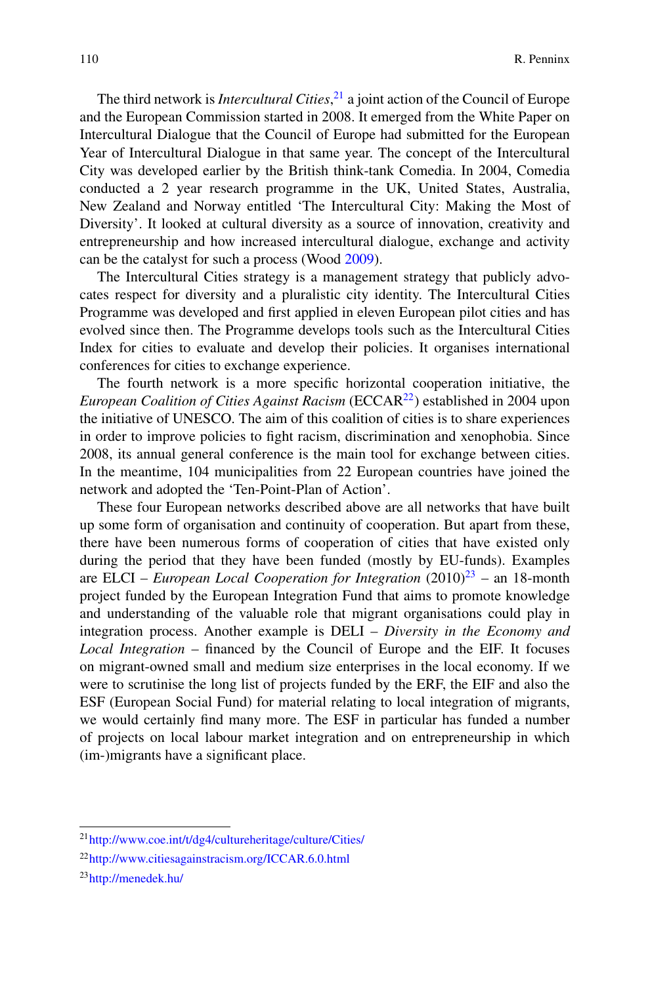The third network is *Intercultural Cities*, [21](#page-12-0) a joint action of the Council of Europe and the European Commission started in 2008. It emerged from the White Paper on Intercultural Dialogue that the Council of Europe had submitted for the European Year of Intercultural Dialogue in that same year. The concept of the Intercultural City was developed earlier by the British think-tank Comedia. In 2004, Comedia conducted a 2 year research programme in the UK, United States, Australia, New Zealand and Norway entitled 'The Intercultural City: Making the Most of Diversity'. It looked at cultural diversity as a source of innovation, creativity and entrepreneurship and how increased intercultural dialogue, exchange and activity can be the catalyst for such a process (Wood [2009\)](#page-17-2).

The Intercultural Cities strategy is a management strategy that publicly advocates respect for diversity and a pluralistic city identity. The Intercultural Cities Programme was developed and first applied in eleven European pilot cities and has evolved since then. The Programme develops tools such as the Intercultural Cities Index for cities to evaluate and develop their policies. It organises international conferences for cities to exchange experience.

The fourth network is a more specific horizontal cooperation initiative, the *European Coalition of Cities Against Racism* (ECCAR<sup>22</sup>) established in 2004 upon the initiative of UNESCO. The aim of this coalition of cities is to share experiences in order to improve policies to fight racism, discrimination and xenophobia. Since 2008, its annual general conference is the main tool for exchange between cities. In the meantime, 104 municipalities from 22 European countries have joined the network and adopted the 'Ten-Point-Plan of Action'.

These four European networks described above are all networks that have built up some form of organisation and continuity of cooperation. But apart from these, there have been numerous forms of cooperation of cities that have existed only during the period that they have been funded (mostly by EU-funds). Examples are ELCI – *European Local Cooperation for Integration* (2010)<sup>[23](#page-12-2)</sup> – an 18-month project funded by the European Integration Fund that aims to promote knowledge and understanding of the valuable role that migrant organisations could play in integration process. Another example is DELI – *Diversity in the Economy and Local Integration* – financed by the Council of Europe and the EIF. It focuses on migrant-owned small and medium size enterprises in the local economy. If we were to scrutinise the long list of projects funded by the ERF, the EIF and also the ESF (European Social Fund) for material relating to local integration of migrants, we would certainly find many more. The ESF in particular has funded a number of projects on local labour market integration and on entrepreneurship in which (im-)migrants have a significant place.

<span id="page-12-0"></span><sup>2</sup>[1http://www.coe.int/t/dg4/cultureheritage/culture/Cities/](http://www.coe.int/t/dg4/cultureheritage/culture/Cities/)

<span id="page-12-1"></span><sup>2</sup>[2http://www.citiesagainstracism.org/ICCAR.6.0.html](http://www.citiesagainstracism.org/ICCAR.6.0.html)

<span id="page-12-2"></span><sup>2</sup>[3http://menedek.hu/](http://menedek.hu/)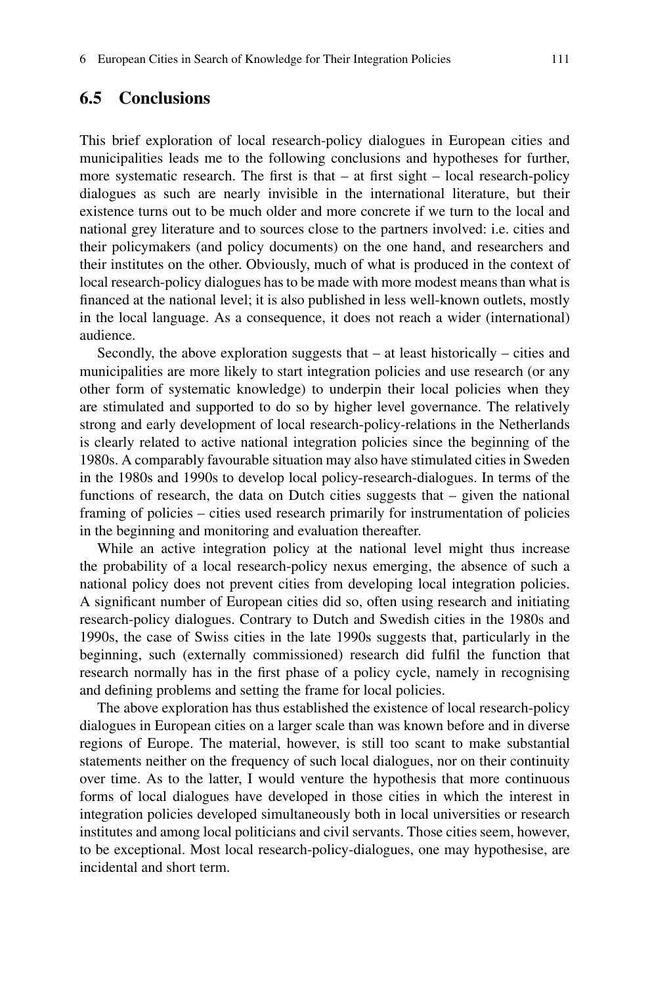#### **6.5 Conclusions**

This brief exploration of local research-policy dialogues in European cities and municipalities leads me to the following conclusions and hypotheses for further, more systematic research. The first is that – at first sight – local research-policy dialogues as such are nearly invisible in the international literature, but their existence turns out to be much older and more concrete if we turn to the local and national grey literature and to sources close to the partners involved: i.e. cities and their policymakers (and policy documents) on the one hand, and researchers and their institutes on the other. Obviously, much of what is produced in the context of local research-policy dialogues has to be made with more modest means than what is financed at the national level; it is also published in less well-known outlets, mostly in the local language. As a consequence, it does not reach a wider (international) audience.

Secondly, the above exploration suggests that – at least historically – cities and municipalities are more likely to start integration policies and use research (or any other form of systematic knowledge) to underpin their local policies when they are stimulated and supported to do so by higher level governance. The relatively strong and early development of local research-policy-relations in the Netherlands is clearly related to active national integration policies since the beginning of the 1980s. A comparably favourable situation may also have stimulated cities in Sweden in the 1980s and 1990s to develop local policy-research-dialogues. In terms of the functions of research, the data on Dutch cities suggests that – given the national framing of policies – cities used research primarily for instrumentation of policies in the beginning and monitoring and evaluation thereafter.

While an active integration policy at the national level might thus increase the probability of a local research-policy nexus emerging, the absence of such a national policy does not prevent cities from developing local integration policies. A significant number of European cities did so, often using research and initiating research-policy dialogues. Contrary to Dutch and Swedish cities in the 1980s and 1990s, the case of Swiss cities in the late 1990s suggests that, particularly in the beginning, such (externally commissioned) research did fulfil the function that research normally has in the first phase of a policy cycle, namely in recognising and defining problems and setting the frame for local policies.

The above exploration has thus established the existence of local research-policy dialogues in European cities on a larger scale than was known before and in diverse regions of Europe. The material, however, is still too scant to make substantial statements neither on the frequency of such local dialogues, nor on their continuity over time. As to the latter, I would venture the hypothesis that more continuous forms of local dialogues have developed in those cities in which the interest in integration policies developed simultaneously both in local universities or research institutes and among local politicians and civil servants. Those cities seem, however, to be exceptional. Most local research-policy-dialogues, one may hypothesise, are incidental and short term.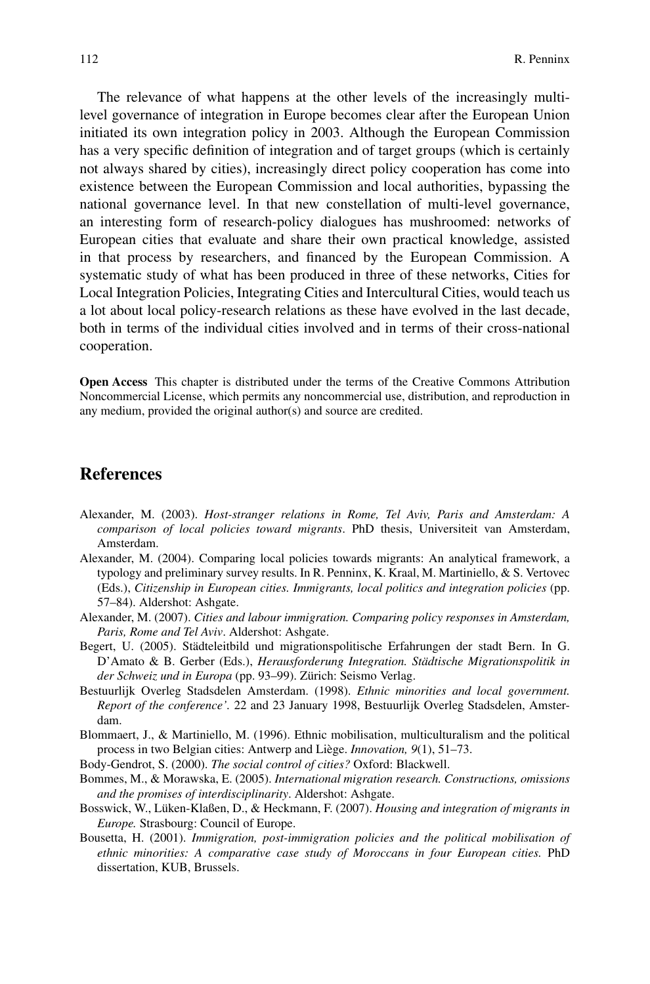The relevance of what happens at the other levels of the increasingly multilevel governance of integration in Europe becomes clear after the European Union initiated its own integration policy in 2003. Although the European Commission has a very specific definition of integration and of target groups (which is certainly not always shared by cities), increasingly direct policy cooperation has come into existence between the European Commission and local authorities, bypassing the national governance level. In that new constellation of multi-level governance, an interesting form of research-policy dialogues has mushroomed: networks of European cities that evaluate and share their own practical knowledge, assisted in that process by researchers, and financed by the European Commission. A systematic study of what has been produced in three of these networks, Cities for Local Integration Policies, Integrating Cities and Intercultural Cities, would teach us a lot about local policy-research relations as these have evolved in the last decade, both in terms of the individual cities involved and in terms of their cross-national cooperation.

**Open Access** This chapter is distributed under the terms of the Creative Commons Attribution Noncommercial License, which permits any noncommercial use, distribution, and reproduction in any medium, provided the original author(s) and source are credited.

#### **References**

- <span id="page-14-5"></span>Alexander, M. (2003). *Host-stranger relations in Rome, Tel Aviv, Paris and Amsterdam: A comparison of local policies toward migrants*. PhD thesis, Universiteit van Amsterdam, Amsterdam.
- <span id="page-14-4"></span>Alexander, M. (2004). Comparing local policies towards migrants: An analytical framework, a typology and preliminary survey results. In R. Penninx, K. Kraal, M. Martiniello, & S. Vertovec (Eds.), *Citizenship in European cities. Immigrants, local politics and integration policies* (pp. 57–84). Aldershot: Ashgate.
- <span id="page-14-6"></span>Alexander, M. (2007). *Cities and labour immigration. Comparing policy responses in Amsterdam, Paris, Rome and Tel Aviv*. Aldershot: Ashgate.
- <span id="page-14-8"></span>Begert, U. (2005). Städteleitbild und migrationspolitische Erfahrungen der stadt Bern. In G. D'Amato & B. Gerber (Eds.), *Herausforderung Integration. Städtische Migrationspolitik in der Schweiz und in Europa* (pp. 93–99). Zürich: Seismo Verlag.
- <span id="page-14-7"></span>Bestuurlijk Overleg Stadsdelen Amsterdam. (1998). *Ethnic minorities and local government. Report of the conference'.* 22 and 23 January 1998, Bestuurlijk Overleg Stadsdelen, Amsterdam.
- <span id="page-14-0"></span>Blommaert, J., & Martiniello, M. (1996). Ethnic mobilisation, multiculturalism and the political process in two Belgian cities: Antwerp and Liège. *Innovation, 9*(1), 51–73.
- <span id="page-14-3"></span>Body-Gendrot, S. (2000). *The social control of cities?* Oxford: Blackwell.
- <span id="page-14-1"></span>Bommes, M., & Morawska, E. (2005). *International migration research. Constructions, omissions and the promises of interdisciplinarity*. Aldershot: Ashgate.
- <span id="page-14-9"></span>Bosswick, W., Lüken-Klaßen, D., & Heckmann, F. (2007). *Housing and integration of migrants in Europe.* Strasbourg: Council of Europe.
- <span id="page-14-2"></span>Bousetta, H. (2001). *Immigration, post-immigration policies and the political mobilisation of ethnic minorities: A comparative case study of Moroccans in four European cities.* PhD dissertation, KUB, Brussels.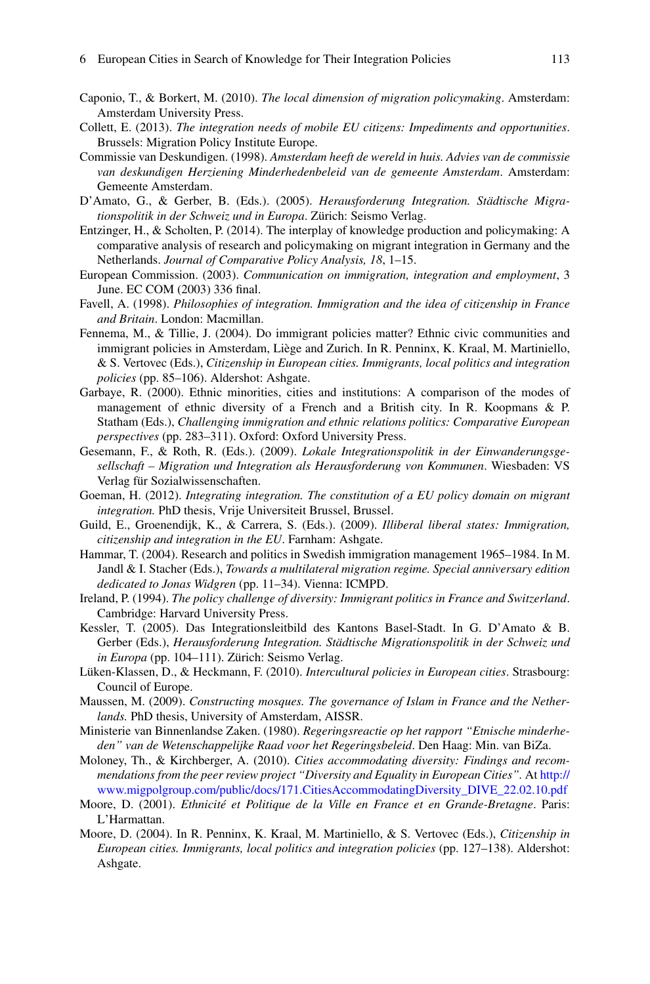- <span id="page-15-8"></span>Caponio, T., & Borkert, M. (2010). *The local dimension of migration policymaking*. Amsterdam: Amsterdam University Press.
- <span id="page-15-16"></span>Collett, E. (2013). *The integration needs of mobile EU citizens: Impediments and opportunities*. Brussels: Migration Policy Institute Europe.
- <span id="page-15-12"></span>Commissie van Deskundigen. (1998). *Amsterdam heeft de wereld in huis. Advies van de commissie van deskundigen Herziening Minderhedenbeleid van de gemeente Amsterdam*. Amsterdam: Gemeente Amsterdam.
- <span id="page-15-13"></span>D'Amato, G., & Gerber, B. (Eds.). (2005). *Herausforderung Integration. Städtische Migrationspolitik in der Schweiz und in Europa*. Zürich: Seismo Verlag.
- <span id="page-15-3"></span>Entzinger, H., & Scholten, P. (2014). The interplay of knowledge production and policymaking: A comparative analysis of research and policymaking on migrant integration in Germany and the Netherlands. *Journal of Comparative Policy Analysis, 18*, 1–15.
- <span id="page-15-15"></span>European Commission. (2003). *Communication on immigration, integration and employment*, 3 June. EC COM (2003) 336 final.
- <span id="page-15-2"></span>Favell, A. (1998). *Philosophies of integration. Immigration and the idea of citizenship in France and Britain*. London: Macmillan.
- <span id="page-15-4"></span>Fennema, M., & Tillie, J. (2004). Do immigrant policies matter? Ethnic civic communities and immigrant policies in Amsterdam, Liège and Zurich. In R. Penninx, K. Kraal, M. Martiniello, & S. Vertovec (Eds.), *Citizenship in European cities. Immigrants, local politics and integration policies* (pp. 85–106). Aldershot: Ashgate.
- <span id="page-15-1"></span>Garbaye, R. (2000). Ethnic minorities, cities and institutions: A comparison of the modes of management of ethnic diversity of a French and a British city. In R. Koopmans & P. Statham (Eds.), *Challenging immigration and ethnic relations politics: Comparative European perspectives* (pp. 283–311). Oxford: Oxford University Press.
- <span id="page-15-9"></span>Gesemann, F., & Roth, R. (Eds.). (2009). *Lokale Integrationspolitik in der Einwanderungsgesellschaft – Migration und Integration als Herausforderung von Kommunen*. Wiesbaden: VS Verlag für Sozialwissenschaften.
- <span id="page-15-17"></span>Goeman, H. (2012). *Integrating integration. The constitution of a EU policy domain on migrant integration.* PhD thesis, Vrije Universiteit Brussel, Brussel.
- <span id="page-15-18"></span>Guild, E., Groenendijk, K., & Carrera, S. (Eds.). (2009). *Illiberal liberal states: Immigration, citizenship and integration in the EU*. Farnham: Ashgate.
- <span id="page-15-11"></span>Hammar, T. (2004). Research and politics in Swedish immigration management 1965–1984. In M. Jandl & I. Stacher (Eds.), *Towards a multilateral migration regime. Special anniversary edition dedicated to Jonas Widgren* (pp. 11–34). Vienna: ICMPD.
- <span id="page-15-0"></span>Ireland, P. (1994). *The policy challenge of diversity: Immigrant politics in France and Switzerland*. Cambridge: Harvard University Press.
- <span id="page-15-14"></span>Kessler, T. (2005). Das Integrationsleitbild des Kantons Basel-Stadt. In G. D'Amato & B. Gerber (Eds.), *Herausforderung Integration. Städtische Migrationspolitik in der Schweiz und in Europa* (pp. 104–111). Zürich: Seismo Verlag.
- <span id="page-15-19"></span>Lüken-Klassen, D., & Heckmann, F. (2010). *Intercultural policies in European cities*. Strasbourg: Council of Europe.
- <span id="page-15-5"></span>Maussen, M. (2009). *Constructing mosques. The governance of Islam in France and the Netherlands.* PhD thesis, University of Amsterdam, AISSR.
- <span id="page-15-10"></span>Ministerie van Binnenlandse Zaken. (1980). *Regeringsreactie op het rapport "Etnische minderheden" van de Wetenschappelijke Raad voor het Regeringsbeleid*. Den Haag: Min. van BiZa.
- <span id="page-15-20"></span>Moloney, Th., & Kirchberger, A. (2010). *Cities accommodating diversity: Findings and recommendations from the peer review project "Diversity and Equality in European Cities".* At [http://](http://www.migpolgroup.com/public/docs/171.CitiesAccommodatingDiversity_DIVE_22.02.10.pdf) [www.migpolgroup.com/public/docs/171.CitiesAccommodatingDiversity\\_DIVE\\_22.02.10.pdf](http://www.migpolgroup.com/public/docs/171.CitiesAccommodatingDiversity_DIVE_22.02.10.pdf)
- <span id="page-15-6"></span>Moore, D. (2001). *Ethnicité et Politique de la Ville en France et en Grande-Bretagne*. Paris: L'Harmattan.
- <span id="page-15-7"></span>Moore, D. (2004). In R. Penninx, K. Kraal, M. Martiniello, & S. Vertovec (Eds.), *Citizenship in European cities. Immigrants, local politics and integration policies* (pp. 127–138). Aldershot: Ashgate.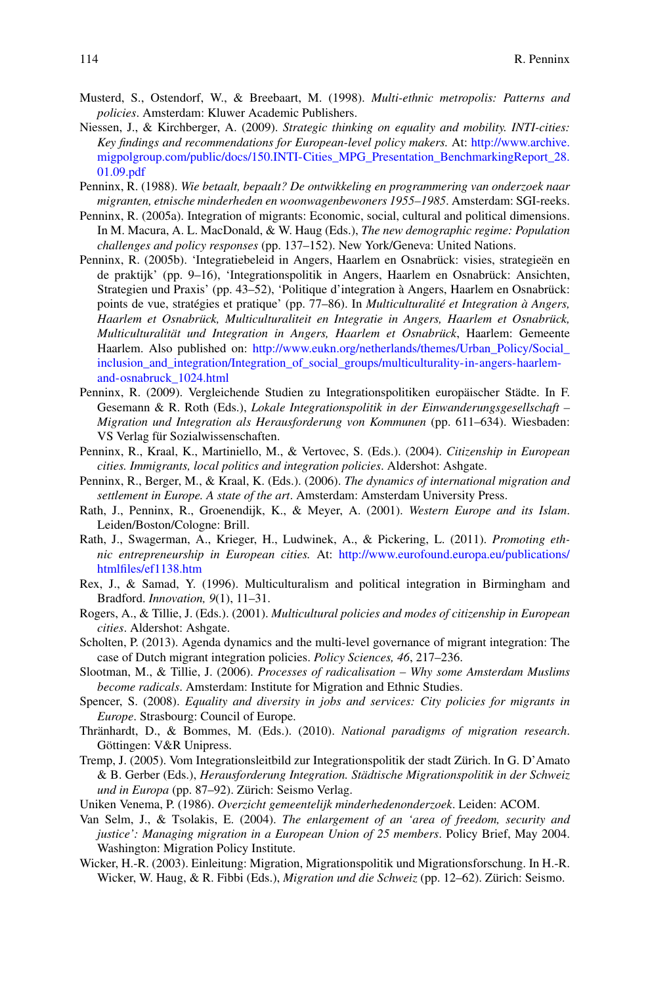- <span id="page-16-3"></span>Musterd, S., Ostendorf, W., & Breebaart, M. (1998). *Multi-ethnic metropolis: Patterns and policies*. Amsterdam: Kluwer Academic Publishers.
- <span id="page-16-19"></span>Niessen, J., & Kirchberger, A. (2009). *Strategic thinking on equality and mobility. INTI-cities: Key findings and recommendations for European-level policy makers.* At: [http://www.archive.](http://www.archive.migpolgroup.com/public/docs/150.INTI-Cities_MPG_Presentation_BenchmarkingReport_28.01.09.pdf) [migpolgroup.com/public/docs/150.INTI-Cities\\_MPG\\_Presentation\\_BenchmarkingReport\\_28.](http://www.archive.migpolgroup.com/public/docs/150.INTI-Cities_MPG_Presentation_BenchmarkingReport_28.01.09.pdf) [01.09.pdf](http://www.archive.migpolgroup.com/public/docs/150.INTI-Cities_MPG_Presentation_BenchmarkingReport_28.01.09.pdf)
- <span id="page-16-7"></span>Penninx, R. (1988). *Wie betaalt, bepaalt? De ontwikkeling en programmering van onderzoek naar migranten, etnische minderheden en woonwagenbewoners 1955–1985*. Amsterdam: SGI-reeks.
- <span id="page-16-8"></span>Penninx, R. (2005a). Integration of migrants: Economic, social, cultural and political dimensions. In M. Macura, A. L. MacDonald, & W. Haug (Eds.), *The new demographic regime: Population challenges and policy responses* (pp. 137–152). New York/Geneva: United Nations.
- <span id="page-16-9"></span>Penninx, R. (2005b). 'Integratiebeleid in Angers, Haarlem en Osnabrück: visies, strategieën en de praktijk' (pp. 9–16), 'Integrationspolitik in Angers, Haarlem en Osnabrück: Ansichten, Strategien und Praxis' (pp. 43–52), 'Politique d'integration à Angers, Haarlem en Osnabrück: points de vue, stratégies et pratique' (pp. 77–86). In *Multiculturalité et Integration à Angers, Haarlem et Osnabrück, Multiculturaliteit en Integratie in Angers, Haarlem et Osnabrück, Multiculturalität und Integration in Angers, Haarlem et Osnabrück*, Haarlem: Gemeente Haarlem. Also published on: [http://www.eukn.org/netherlands/themes/Urban\\_Policy/Social\\_](http://www.eukn.org/netherlands/themes/Urban_Policy/Social_inclusion_and_integration/Integration_of_social_groups/multiculturality-in-angers-haarlem-and-osnabruck_1024.html) [inclusion\\_and\\_integration/Integration\\_of\\_social\\_groups/multiculturality-in-angers-haarlem](http://www.eukn.org/netherlands/themes/Urban_Policy/Social_inclusion_and_integration/Integration_of_social_groups/multiculturality-in-angers-haarlem-and-osnabruck_1024.html)[and-osnabruck\\_1024.html](http://www.eukn.org/netherlands/themes/Urban_Policy/Social_inclusion_and_integration/Integration_of_social_groups/multiculturality-in-angers-haarlem-and-osnabruck_1024.html)
- <span id="page-16-10"></span>Penninx, R. (2009). Vergleichende Studien zu Integrationspolitiken europäischer Städte. In F. Gesemann & R. Roth (Eds.), *Lokale Integrationspolitik in der Einwanderungsgesellschaft – Migration und Integration als Herausforderung von Kommunen* (pp. 611–634). Wiesbaden: VS Verlag für Sozialwissenschaften.
- <span id="page-16-6"></span>Penninx, R., Kraal, K., Martiniello, M., & Vertovec, S. (Eds.). (2004). *Citizenship in European cities. Immigrants, local politics and integration policies*. Aldershot: Ashgate.
- <span id="page-16-1"></span>Penninx, R., Berger, M., & Kraal, K. (Eds.). (2006). *The dynamics of international migration and settlement in Europe. A state of the art*. Amsterdam: Amsterdam University Press.
- <span id="page-16-4"></span>Rath, J., Penninx, R., Groenendijk, K., & Meyer, A. (2001). *Western Europe and its Islam*. Leiden/Boston/Cologne: Brill.
- <span id="page-16-18"></span>Rath, J., Swagerman, A., Krieger, H., Ludwinek, A., & Pickering, L. (2011). *Promoting ethnic entrepreneurship in European cities.* At: [http://www.eurofound.europa.eu/publications/](http://www.eurofound.europa.eu/publications/htmlfiles/ef1138.htm) [htmlfiles/ef1138.htm](http://www.eurofound.europa.eu/publications/htmlfiles/ef1138.htm)
- <span id="page-16-0"></span>Rex, J., & Samad, Y. (1996). Multiculturalism and political integration in Birmingham and Bradford. *Innovation, 9*(1), 11–31.
- <span id="page-16-5"></span>Rogers, A., & Tillie, J. (Eds.). (2001). *Multicultural policies and modes of citizenship in European cities*. Aldershot: Ashgate.
- <span id="page-16-15"></span>Scholten, P. (2013). Agenda dynamics and the multi-level governance of migrant integration: The case of Dutch migrant integration policies. *Policy Sciences, 46*, 217–236.
- <span id="page-16-12"></span>Slootman, M., & Tillie, J. (2006). *Processes of radicalisation – Why some Amsterdam Muslims become radicals*. Amsterdam: Institute for Migration and Ethnic Studies.
- <span id="page-16-17"></span>Spencer, S. (2008). *Equality and diversity in jobs and services: City policies for migrants in Europe*. Strasbourg: Council of Europe.
- <span id="page-16-2"></span>Thränhardt, D., & Bommes, M. (Eds.). (2010). *National paradigms of migration research*. Göttingen: V&R Unipress.
- <span id="page-16-14"></span>Tremp, J. (2005). Vom Integrationsleitbild zur Integrationspolitik der stadt Zürich. In G. D'Amato & B. Gerber (Eds.), *Herausforderung Integration. Städtische Migrationspolitik in der Schweiz und in Europa* (pp. 87–92). Zürich: Seismo Verlag.
- <span id="page-16-11"></span>Uniken Venema, P. (1986). *Overzicht gemeentelijk minderhedenonderzoek*. Leiden: ACOM.
- <span id="page-16-16"></span>Van Selm, J., & Tsolakis, E. (2004). *The enlargement of an 'area of freedom, security and justice': Managing migration in a European Union of 25 members*. Policy Brief, May 2004. Washington: Migration Policy Institute.
- <span id="page-16-13"></span>Wicker, H.-R. (2003). Einleitung: Migration, Migrationspolitik und Migrationsforschung. In H.-R. Wicker, W. Haug, & R. Fibbi (Eds.), *Migration und die Schweiz* (pp. 12–62). Zürich: Seismo.